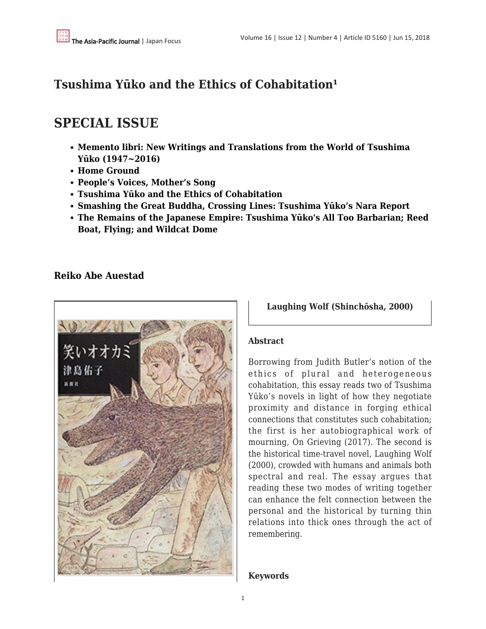## **Tsushima Yūko and the Ethics of Cohabitation**<sup>1</sup>

# **SPECIAL ISSUE**

- **[Memento libri: New Writings and Translations from the World of Tsushima](http://www.apjjf.org/2018/12/McKnight.html) [Yūko \(1947~2016\)](http://www.apjjf.org/2018/12/McKnight.html)**
- **[Home Ground](http://www.apjjf.org/2018/12/Harcourt.html)**
- **[People's Voices, Mother's Song](http://www.apjjf.org/2018/12/Ishihara.html)**
- **[Tsushima Yūko and the Ethics of Cohabitation](http://www.apjjf.org/2018/12/Auestad.html)**
- **[Smashing the Great Buddha, Crossing Lines: Tsushima Yūko's Nara Report](http://www.apjjf.org/2018/12/Shigeto.html)**
- **[The Remains of the Japanese Empire: Tsushima Yūko's All Too Barbarian; Reed](http://www.apjjf.org/2018/12/Wu.html) [Boat, Flying; and Wildcat Dome](http://www.apjjf.org/2018/12/Wu.html)**

### **[Reiko Abe Auestad](https://apjjf.org/authors/view/14862)**



**Laughing Wolf (Shinchōsha, 2000)**

#### **Abstract**

Borrowing from Judith Butler's notion of the ethics of plural and heterogeneous cohabitation, this essay reads two of Tsushima Yūko's novels in light of how they negotiate proximity and distance in forging ethical connections that constitutes such cohabitation; the first is her autobiographical work of mourning, On Grieving (2017). The second is the historical time-travel novel, Laughing Wolf (2000), crowded with humans and animals both spectral and real. The essay argues that reading these two modes of writing together can enhance the felt connection between the personal and the historical by turning thin relations into thick ones through the act of remembering.

#### **Keywords**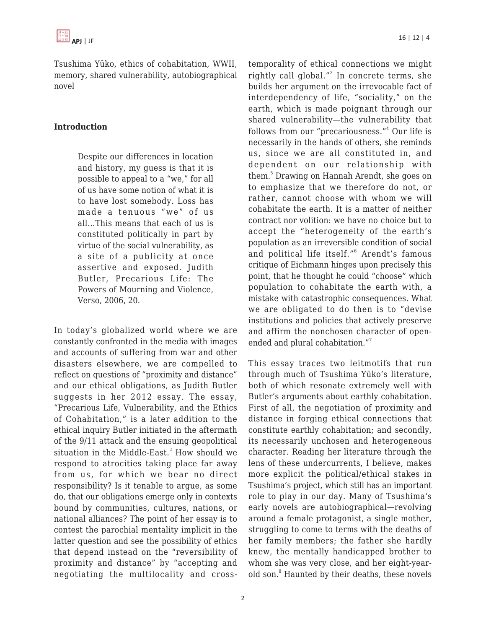Tsushima Yūko, ethics of cohabitation, WWII, memory, shared vulnerability, autobiographical novel

#### **Introduction**

Despite our differences in location and history, my guess is that it is possible to appeal to a "we," for all of us have some notion of what it is to have lost somebody. Loss has made a tenuous "we" of us all…This means that each of us is constituted politically in part by virtue of the social vulnerability, as a site of a publicity at once assertive and exposed. Judith Butler, Precarious Life: The Powers of Mourning and Violence, Verso, 2006, 20.

In today's globalized world where we are constantly confronted in the media with images and accounts of suffering from war and other disasters elsewhere, we are compelled to reflect on questions of "proximity and distance" and our ethical obligations, as Judith Butler suggests in her 2012 essay. The essay, "Precarious Life, Vulnerability, and the Ethics of Cohabitation," is a later addition to the ethical inquiry Butler initiated in the aftermath of the 9/11 attack and the ensuing geopolitical situation in the Middle-East. $^2$  How should we respond to atrocities taking place far away from us, for which we bear no direct responsibility? Is it tenable to argue, as some do, that our obligations emerge only in contexts bound by communities, cultures, nations, or national alliances? The point of her essay is to contest the parochial mentality implicit in the latter question and see the possibility of ethics that depend instead on the "reversibility of proximity and distance" by "accepting and negotiating the multilocality and crosstemporality of ethical connections we might rightly call global."<sup>3</sup> In concrete terms, she builds her argument on the irrevocable fact of interdependency of life, "sociality," on the earth, which is made poignant through our shared vulnerability—the vulnerability that follows from our "precariousness."<sup>4</sup> Our life is necessarily in the hands of others, she reminds us, since we are all constituted in, and dependent on our relationship with them.<sup>5</sup> Drawing on Hannah Arendt, she goes on to emphasize that we therefore do not, or rather, cannot choose with whom we will cohabitate the earth. It is a matter of neither contract nor volition: we have no choice but to accept the "heterogeneity of the earth's population as an irreversible condition of social and political life itself."<sup>6</sup> Arendt's famous critique of Eichmann hinges upon precisely this point, that he thought he could "choose" which population to cohabitate the earth with, a mistake with catastrophic consequences. What we are obligated to do then is to "devise institutions and policies that actively preserve and affirm the nonchosen character of openended and plural cohabitation."<sup>7</sup>

This essay traces two leitmotifs that run through much of Tsushima Yūko's literature, both of which resonate extremely well with Butler's arguments about earthly cohabitation. First of all, the negotiation of proximity and distance in forging ethical connections that constitute earthly cohabitation; and secondly, its necessarily unchosen and heterogeneous character. Reading her literature through the lens of these undercurrents, I believe, makes more explicit the political/ethical stakes in Tsushima's project, which still has an important role to play in our day. Many of Tsushima's early novels are autobiographical—revolving around a female protagonist, a single mother, struggling to come to terms with the deaths of her family members; the father she hardly knew, the mentally handicapped brother to whom she was very close, and her eight-yearold son.<sup>8</sup> Haunted by their deaths, these novels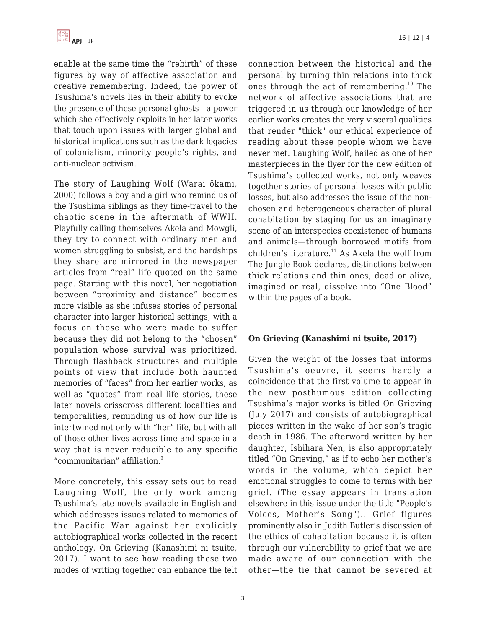enable at the same time the "rebirth" of these figures by way of affective association and creative remembering. Indeed, the power of Tsushima's novels lies in their ability to evoke the presence of these personal ghosts—a power which she effectively exploits in her later works that touch upon issues with larger global and historical implications such as the dark legacies of colonialism, minority people's rights, and anti-nuclear activism.

The story of Laughing Wolf (Warai ōkami, 2000) follows a boy and a girl who remind us of the Tsushima siblings as they time-travel to the chaotic scene in the aftermath of WWII. Playfully calling themselves Akela and Mowgli, they try to connect with ordinary men and women struggling to subsist, and the hardships they share are mirrored in the newspaper articles from "real" life quoted on the same page. Starting with this novel, her negotiation between "proximity and distance" becomes more visible as she infuses stories of personal character into larger historical settings, with a focus on those who were made to suffer because they did not belong to the "chosen" population whose survival was prioritized. Through flashback structures and multiple points of view that include both haunted memories of "faces" from her earlier works, as well as "quotes" from real life stories, these later novels crisscross different localities and temporalities, reminding us of how our life is intertwined not only with "her" life, but with all of those other lives across time and space in a way that is never reducible to any specific "communitarian" affiliation.<sup>9</sup>

More concretely, this essay sets out to read Laughing Wolf, the only work among Tsushima's late novels available in English and which addresses issues related to memories of the Pacific War against her explicitly autobiographical works collected in the recent anthology, On Grieving (Kanashimi ni tsuite, 2017). I want to see how reading these two modes of writing together can enhance the felt connection between the historical and the personal by turning thin relations into thick ones through the act of remembering.<sup>10</sup> The network of affective associations that are triggered in us through our knowledge of her earlier works creates the very visceral qualities that render "thick" our ethical experience of reading about these people whom we have never met. Laughing Wolf, hailed as one of her masterpieces in the flyer for the new edition of Tsushima's collected works, not only weaves together stories of personal losses with public losses, but also addresses the issue of the nonchosen and heterogeneous character of plural cohabitation by staging for us an imaginary scene of an interspecies coexistence of humans and animals—through borrowed motifs from children's literature. $11$  As Akela the wolf from The Jungle Book declares, distinctions between thick relations and thin ones, dead or alive, imagined or real, dissolve into "One Blood" within the pages of a book.

#### **On Grieving (Kanashimi ni tsuite, 2017)**

Given the weight of the losses that informs Tsushima's oeuvre, it seems hardly a coincidence that the first volume to appear in the new posthumous edition collecting Tsushima's major works is titled On Grieving (July 2017) and consists of autobiographical pieces written in the wake of her son's tragic death in 1986. The afterword written by her daughter, Ishihara Nen, is also appropriately titled "On Grieving," as if to echo her mother's words in the volume, which depict her emotional struggles to come to terms with her grief. (The essay appears in translation elsewhere in this issue under the title "People's Voices, Mother's Song").. Grief figures prominently also in Judith Butler's discussion of the ethics of cohabitation because it is often through our vulnerability to grief that we are made aware of our connection with the other—the tie that cannot be severed at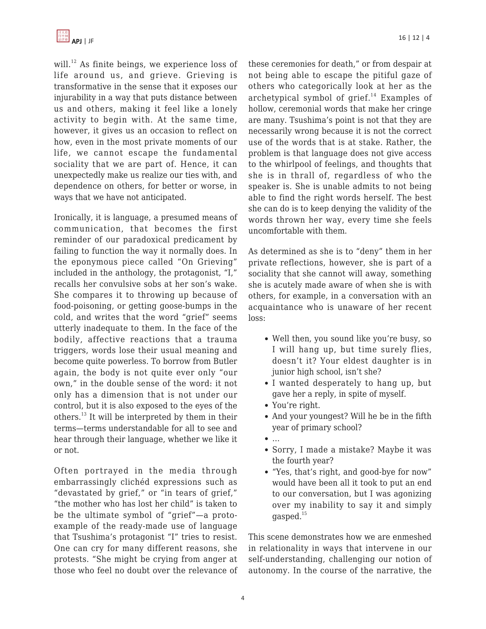

will.<sup>12</sup> As finite beings, we experience loss of life around us, and grieve. Grieving is transformative in the sense that it exposes our injurability in a way that puts distance between us and others, making it feel like a lonely activity to begin with. At the same time, however, it gives us an occasion to reflect on how, even in the most private moments of our life, we cannot escape the fundamental sociality that we are part of. Hence, it can unexpectedly make us realize our ties with, and dependence on others, for better or worse, in ways that we have not anticipated.

Ironically, it is language, a presumed means of communication, that becomes the first reminder of our paradoxical predicament by failing to function the way it normally does. In the eponymous piece called "On Grieving" included in the anthology, the protagonist, "I," recalls her convulsive sobs at her son's wake. She compares it to throwing up because of food-poisoning, or getting goose-bumps in the cold, and writes that the word "grief" seems utterly inadequate to them. In the face of the bodily, affective reactions that a trauma triggers, words lose their usual meaning and become quite powerless. To borrow from Butler again, the body is not quite ever only "our own," in the double sense of the word: it not only has a dimension that is not under our control, but it is also exposed to the eyes of the others.<sup>13</sup> It will be interpreted by them in their terms—terms understandable for all to see and hear through their language, whether we like it or not.

Often portrayed in the media through embarrassingly clichéd expressions such as "devastated by grief," or "in tears of grief," "the mother who has lost her child" is taken to be the ultimate symbol of "grief"—a protoexample of the ready-made use of language that Tsushima's protagonist "I" tries to resist. One can cry for many different reasons, she protests. "She might be crying from anger at those who feel no doubt over the relevance of these ceremonies for death," or from despair at not being able to escape the pitiful gaze of others who categorically look at her as the archetypical symbol of  $q$ rief.<sup>14</sup> Examples of hollow, ceremonial words that make her cringe are many. Tsushima's point is not that they are necessarily wrong because it is not the correct use of the words that is at stake. Rather, the problem is that language does not give access to the whirlpool of feelings, and thoughts that she is in thrall of, regardless of who the speaker is. She is unable admits to not being able to find the right words herself. The best she can do is to keep denying the validity of the words thrown her way, every time she feels uncomfortable with them.

As determined as she is to "deny" them in her private reflections, however, she is part of a sociality that she cannot will away, something she is acutely made aware of when she is with others, for example, in a conversation with an acquaintance who is unaware of her recent loss:

- Well then, you sound like you're busy, so I will hang up, but time surely flies, doesn't it? Your eldest daughter is in junior high school, isn't she?
- I wanted desperately to hang up, but gave her a reply, in spite of myself.
- You're right.
- And your youngest? Will he be in the fifth year of primary school?
- …
- Sorry, I made a mistake? Maybe it was the fourth year?
- "Yes, that's right, and good-bye for now" would have been all it took to put an end to our conversation, but I was agonizing over my inability to say it and simply  $q$ asped. $15$

This scene demonstrates how we are enmeshed in relationality in ways that intervene in our self-understanding, challenging our notion of autonomy. In the course of the narrative, the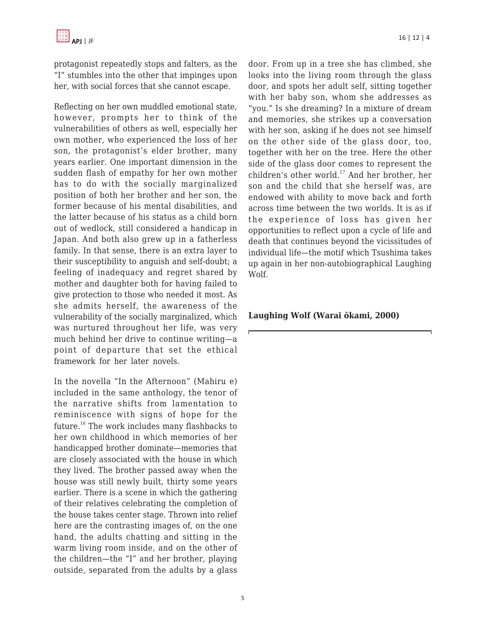protagonist repeatedly stops and falters, as the "I" stumbles into the other that impinges upon her, with social forces that she cannot escape.

Reflecting on her own muddled emotional state, however, prompts her to think of the vulnerabilities of others as well, especially her own mother, who experienced the loss of her son, the protagonist's elder brother, many years earlier. One important dimension in the sudden flash of empathy for her own mother has to do with the socially marginalized position of both her brother and her son, the former because of his mental disabilities, and the latter because of his status as a child born out of wedlock, still considered a handicap in Japan. And both also grew up in a fatherless family. In that sense, there is an extra layer to their susceptibility to anguish and self-doubt; a feeling of inadequacy and regret shared by mother and daughter both for having failed to give protection to those who needed it most. As she admits herself, the awareness of the vulnerability of the socially marginalized, which was nurtured throughout her life, was very much behind her drive to continue writing—a point of departure that set the ethical framework for her later novels.

In the novella "In the Afternoon" (Mahiru e) included in the same anthology, the tenor of the narrative shifts from lamentation to reminiscence with signs of hope for the future.<sup>16</sup> The work includes many flashbacks to her own childhood in which memories of her handicapped brother dominate—memories that are closely associated with the house in which they lived. The brother passed away when the house was still newly built, thirty some years earlier. There is a scene in which the gathering of their relatives celebrating the completion of the house takes center stage. Thrown into relief here are the contrasting images of, on the one hand, the adults chatting and sitting in the warm living room inside, and on the other of the children—the "I" and her brother, playing outside, separated from the adults by a glass door. From up in a tree she has climbed, she looks into the living room through the glass door, and spots her adult self, sitting together with her baby son, whom she addresses as "you." Is she dreaming? In a mixture of dream and memories, she strikes up a conversation with her son, asking if he does not see himself on the other side of the glass door, too, together with her on the tree. Here the other side of the glass door comes to represent the children's other world.<sup>17</sup> And her brother, her son and the child that she herself was, are endowed with ability to move back and forth across time between the two worlds. It is as if the experience of loss has given her opportunities to reflect upon a cycle of life and death that continues beyond the vicissitudes of individual life—the motif which Tsushima takes up again in her non-autobiographical Laughing Wolf.

#### **Laughing Wolf (Warai ōkami, 2000)**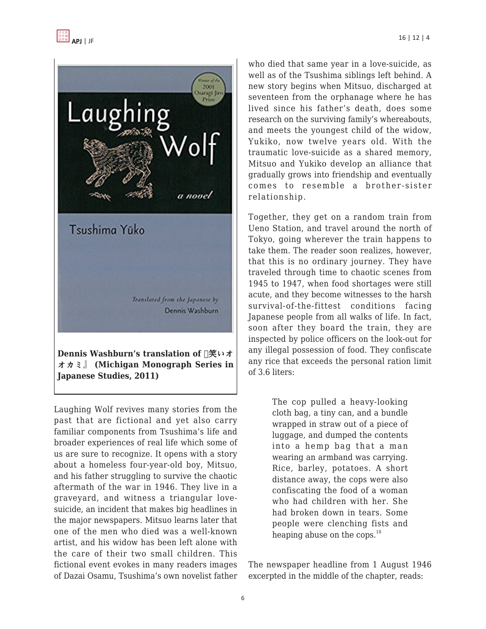

オカミ』 **(Michigan Monograph Series in Japanese Studies, 2011)**

Laughing Wolf revives many stories from the past that are fictional and yet also carry familiar components from Tsushima's life and broader experiences of real life which some of us are sure to recognize. It opens with a story about a homeless four-year-old boy, Mitsuo, and his father struggling to survive the chaotic aftermath of the war in 1946. They live in a graveyard, and witness a triangular lovesuicide, an incident that makes big headlines in the major newspapers. Mitsuo learns later that one of the men who died was a well-known artist, and his widow has been left alone with the care of their two small children. This fictional event evokes in many readers images of Dazai Osamu, Tsushima's own novelist father who died that same year in a love-suicide, as well as of the Tsushima siblings left behind. A new story begins when Mitsuo, discharged at seventeen from the orphanage where he has lived since his father's death, does some research on the surviving family's whereabouts, and meets the youngest child of the widow, Yukiko, now twelve years old. With the traumatic love-suicide as a shared memory, Mitsuo and Yukiko develop an alliance that gradually grows into friendship and eventually comes to resemble a brother-sister relationship.

Together, they get on a random train from Ueno Station, and travel around the north of Tokyo, going wherever the train happens to take them. The reader soon realizes, however, that this is no ordinary journey. They have traveled through time to chaotic scenes from 1945 to 1947, when food shortages were still acute, and they become witnesses to the harsh survival-of-the-fittest conditions facing Japanese people from all walks of life. In fact, soon after they board the train, they are inspected by police officers on the look-out for any illegal possession of food. They confiscate any rice that exceeds the personal ration limit of 3.6 liters:

> The cop pulled a heavy-looking cloth bag, a tiny can, and a bundle wrapped in straw out of a piece of luggage, and dumped the contents into a hemp bag that a man wearing an armband was carrying. Rice, barley, potatoes. A short distance away, the cops were also confiscating the food of a woman who had children with her. She had broken down in tears. Some people were clenching fists and heaping abuse on the cops. $^{18}$

The newspaper headline from 1 August 1946 excerpted in the middle of the chapter, reads: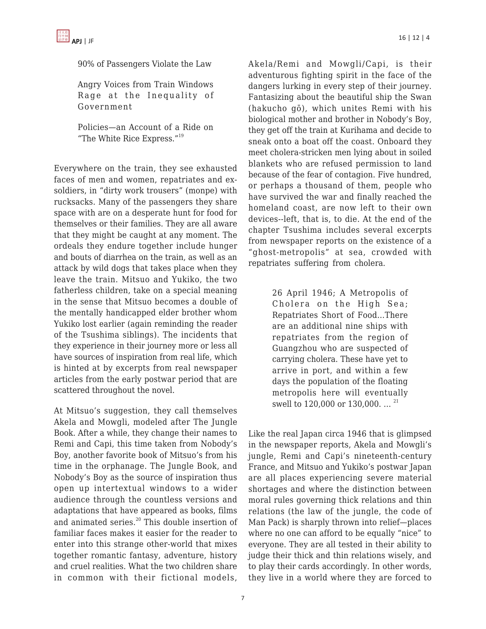

90% of Passengers Violate the Law

Angry Voices from Train Windows Rage at the Inequality of Government

Policies—an Account of a Ride on "The White Rice Express."<sup>19</sup>

Everywhere on the train, they see exhausted faces of men and women, repatriates and exsoldiers, in "dirty work trousers" (monpe) with rucksacks. Many of the passengers they share space with are on a desperate hunt for food for themselves or their families. They are all aware that they might be caught at any moment. The ordeals they endure together include hunger and bouts of diarrhea on the train, as well as an attack by wild dogs that takes place when they leave the train. Mitsuo and Yukiko, the two fatherless children, take on a special meaning in the sense that Mitsuo becomes a double of the mentally handicapped elder brother whom Yukiko lost earlier (again reminding the reader of the Tsushima siblings). The incidents that they experience in their journey more or less all have sources of inspiration from real life, which is hinted at by excerpts from real newspaper articles from the early postwar period that are scattered throughout the novel.

At Mitsuo's suggestion, they call themselves Akela and Mowgli, modeled after The Jungle Book. After a while, they change their names to Remi and Capi, this time taken from Nobody's Boy, another favorite book of Mitsuo's from his time in the orphanage. The Jungle Book, and Nobody's Boy as the source of inspiration thus open up intertextual windows to a wider audience through the countless versions and adaptations that have appeared as books, films and animated series. $20$  This double insertion of familiar faces makes it easier for the reader to enter into this strange other-world that mixes together romantic fantasy, adventure, history and cruel realities. What the two children share in common with their fictional models,

Akela/Remi and Mowgli/Capi, is their adventurous fighting spirit in the face of the dangers lurking in every step of their journey. Fantasizing about the beautiful ship the Swan (hakucho gō), which unites Remi with his biological mother and brother in Nobody's Boy, they get off the train at Kurihama and decide to sneak onto a boat off the coast. Onboard they meet cholera-stricken men lying about in soiled blankets who are refused permission to land because of the fear of contagion. Five hundred, or perhaps a thousand of them, people who have survived the war and finally reached the homeland coast, are now left to their own devices--left, that is, to die. At the end of the chapter Tsushima includes several excerpts from newspaper reports on the existence of a "ghost-metropolis" at sea, crowded with repatriates suffering from cholera.

> 26 April 1946; A Metropolis of Cholera on the High Sea; Repatriates Short of Food…There are an additional nine ships with repatriates from the region of Guangzhou who are suspected of carrying cholera. These have yet to arrive in port, and within a few days the population of the floating metropolis here will eventually swell to 120,000 or 130,000. ... <sup>21</sup>

Like the real Japan circa 1946 that is glimpsed in the newspaper reports, Akela and Mowgli's jungle, Remi and Capi's nineteenth-century France, and Mitsuo and Yukiko's postwar Japan are all places experiencing severe material shortages and where the distinction between moral rules governing thick relations and thin relations (the law of the jungle, the code of Man Pack) is sharply thrown into relief—places where no one can afford to be equally "nice" to everyone. They are all tested in their ability to judge their thick and thin relations wisely, and to play their cards accordingly. In other words, they live in a world where they are forced to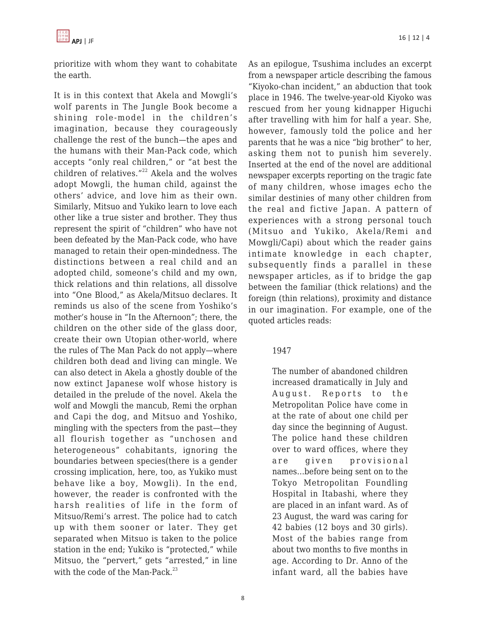

prioritize with whom they want to cohabitate the earth.

It is in this context that Akela and Mowgli's wolf parents in The Jungle Book become a shining role-model in the children's imagination, because they courageously challenge the rest of the bunch—the apes and the humans with their Man-Pack code, which accepts "only real children," or "at best the children of relatives." $22$  Akela and the wolves adopt Mowgli, the human child, against the others' advice, and love him as their own. Similarly, Mitsuo and Yukiko learn to love each other like a true sister and brother. They thus represent the spirit of "children" who have not been defeated by the Man-Pack code, who have managed to retain their open-mindedness. The distinctions between a real child and an adopted child, someone's child and my own, thick relations and thin relations, all dissolve into "One Blood," as Akela/Mitsuo declares. It reminds us also of the scene from Yoshiko's mother's house in "In the Afternoon"; there, the children on the other side of the glass door, create their own Utopian other-world, where the rules of The Man Pack do not apply—where children both dead and living can mingle. We can also detect in Akela a ghostly double of the now extinct Japanese wolf whose history is detailed in the prelude of the novel. Akela the wolf and Mowgli the mancub, Remi the orphan and Capi the dog, and Mitsuo and Yoshiko, mingling with the specters from the past—they all flourish together as "unchosen and heterogeneous" cohabitants, ignoring the boundaries between species(there is a gender crossing implication, here, too, as Yukiko must behave like a boy, Mowgli). In the end, however, the reader is confronted with the harsh realities of life in the form of Mitsuo/Remi's arrest. The police had to catch up with them sooner or later. They get separated when Mitsuo is taken to the police station in the end; Yukiko is "protected," while Mitsuo, the "pervert," gets "arrested," in line with the code of the Man-Pack. $^{23}$ 

8

As an epilogue, Tsushima includes an excerpt from a newspaper article describing the famous "Kiyoko-chan incident," an abduction that took place in 1946. The twelve-year-old Kiyoko was rescued from her young kidnapper Higuchi after travelling with him for half a year. She, however, famously told the police and her parents that he was a nice "big brother" to her, asking them not to punish him severely. Inserted at the end of the novel are additional newspaper excerpts reporting on the tragic fate of many children, whose images echo the similar destinies of many other children from the real and fictive Japan. A pattern of experiences with a strong personal touch (Mitsuo and Yukiko, Akela/Remi and Mowgli/Capi) about which the reader gains intimate knowledge in each chapter, subsequently finds a parallel in these newspaper articles, as if to bridge the gap between the familiar (thick relations) and the foreign (thin relations), proximity and distance in our imagination. For example, one of the quoted articles reads:

#### 1947

The number of abandoned children increased dramatically in July and August. Reports to the Metropolitan Police have come in at the rate of about one child per day since the beginning of August. The police hand these children over to ward offices, where they are given provisional names…before being sent on to the Tokyo Metropolitan Foundling Hospital in Itabashi, where they are placed in an infant ward. As of 23 August, the ward was caring for 42 babies (12 boys and 30 girls). Most of the babies range from about two months to five months in age. According to Dr. Anno of the infant ward, all the babies have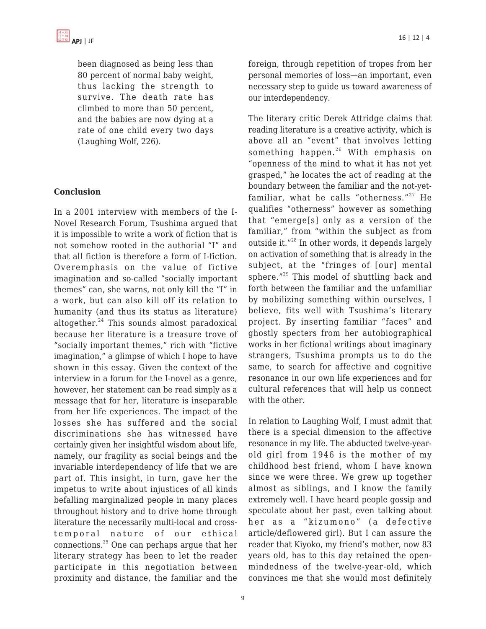

been diagnosed as being less than 80 percent of normal baby weight, thus lacking the strength to survive. The death rate has climbed to more than 50 percent, and the babies are now dying at a rate of one child every two days (Laughing Wolf, 226).

#### **Conclusion**

In a 2001 interview with members of the I-Novel Research Forum, Tsushima argued that it is impossible to write a work of fiction that is not somehow rooted in the authorial "I" and that all fiction is therefore a form of I-fiction. Overemphasis on the value of fictive imagination and so-called "socially important themes" can, she warns, not only kill the "I" in a work, but can also kill off its relation to humanity (and thus its status as literature) altogether. $24$  This sounds almost paradoxical because her literature is a treasure trove of "socially important themes," rich with "fictive imagination," a glimpse of which I hope to have shown in this essay. Given the context of the interview in a forum for the I-novel as a genre, however, her statement can be read simply as a message that for her, literature is inseparable from her life experiences. The impact of the losses she has suffered and the social discriminations she has witnessed have certainly given her insightful wisdom about life, namely, our fragility as social beings and the invariable interdependency of life that we are part of. This insight, in turn, gave her the impetus to write about injustices of all kinds befalling marginalized people in many places throughout history and to drive home through literature the necessarily multi-local and crosstemporal nature of our ethical connections.<sup>25</sup> One can perhaps argue that her literary strategy has been to let the reader participate in this negotiation between proximity and distance, the familiar and the foreign, through repetition of tropes from her personal memories of loss—an important, even necessary step to guide us toward awareness of our interdependency.

The literary critic Derek Attridge claims that reading literature is a creative activity, which is above all an "event" that involves letting something happen.<sup>26</sup> With emphasis on "openness of the mind to what it has not yet grasped," he locates the act of reading at the boundary between the familiar and the not-yetfamiliar, what he calls "otherness." $27$  He qualifies "otherness" however as something that "emerge[s] only as a version of the familiar," from "within the subject as from outside it."<sup>28</sup> In other words, it depends largely on activation of something that is already in the subject, at the "fringes of [our] mental sphere."<sup>29</sup> This model of shuttling back and forth between the familiar and the unfamiliar by mobilizing something within ourselves, I believe, fits well with Tsushima's literary project. By inserting familiar "faces" and ghostly specters from her autobiographical works in her fictional writings about imaginary strangers, Tsushima prompts us to do the same, to search for affective and cognitive resonance in our own life experiences and for cultural references that will help us connect with the other.

In relation to Laughing Wolf, I must admit that there is a special dimension to the affective resonance in my life. The abducted twelve-yearold girl from 1946 is the mother of my childhood best friend, whom I have known since we were three. We grew up together almost as siblings, and I know the family extremely well. I have heard people gossip and speculate about her past, even talking about her as a "kizumono" (a defective article/deflowered girl). But I can assure the reader that Kiyoko, my friend's mother, now 83 years old, has to this day retained the openmindedness of the twelve-year-old, which convinces me that she would most definitely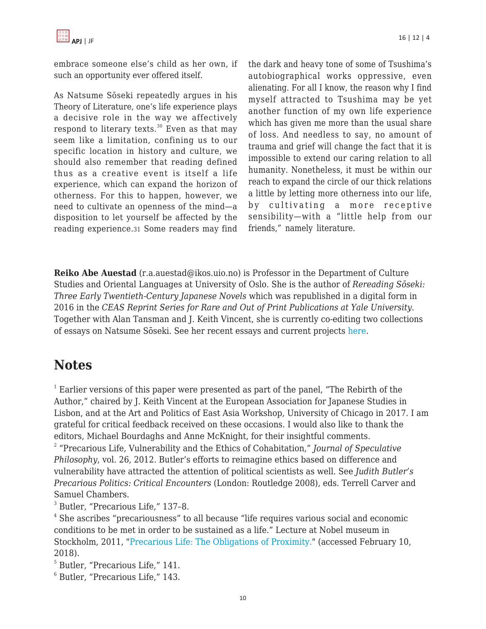

embrace someone else's child as her own, if such an opportunity ever offered itself.

As Natsume Sōseki repeatedly argues in his Theory of Literature, one's life experience plays a decisive role in the way we affectively respond to literary texts. $30$  Even as that may seem like a limitation, confining us to our specific location in history and culture, we should also remember that reading defined thus as a creative event is itself a life experience, which can expand the horizon of otherness. For this to happen, however, we need to cultivate an openness of the mind—a disposition to let yourself be affected by the reading experience.31 Some readers may find the dark and heavy tone of some of Tsushima's autobiographical works oppressive, even alienating. For all I know, the reason why I find myself attracted to Tsushima may be yet another function of my own life experience which has given me more than the usual share of loss. And needless to say, no amount of trauma and grief will change the fact that it is impossible to extend our caring relation to all humanity. Nonetheless, it must be within our reach to expand the circle of our thick relations a little by letting more otherness into our life, by cultivating a more receptive sensibility—with a "little help from our friends," namely literature.

**Reiko Abe Auestad** (r.a.auestad@ikos.uio.no) is Professor in the Department of Culture Studies and Oriental Languages at University of Oslo. She is the author of *Rereading Sōseki: Three Early Twentieth-Century Japanese Novels* which was republished in a digital form in 2016 in the *CEAS Reprint Series for Rare and Out of Print Publications at Yale University.* Together with Alan Tansman and J. Keith Vincent, she is currently co-editing two collections of essays on Natsume Sōseki. See her recent essays and current projects [here](http://www.hf.uio.no/ikos/english/people/aca/japanese-studies/tenured/reiko/).

### **Notes**

 $1$  Earlier versions of this paper were presented as part of the panel, "The Rebirth of the Author," chaired by J. Keith Vincent at the European Association for Japanese Studies in Lisbon, and at the Art and Politics of East Asia Workshop, University of Chicago in 2017. I am grateful for critical feedback received on these occasions. I would also like to thank the editors, Michael Bourdaghs and Anne McKnight, for their insightful comments.

2 "Precarious Life, Vulnerability and the Ethics of Cohabitation," *Journal of Speculative Philosophy*, vol. 26, 2012. Butler's efforts to reimagine ethics based on difference and vulnerability have attracted the attention of political scientists as well. See *Judith Butler's Precarious Politics: Critical Encounters* (London: Routledge 2008), eds. Terrell Carver and Samuel Chambers.

3 Butler, "Precarious Life," 137–8.

4 She ascribes "precariousness" to all because "life requires various social and economic conditions to be met in order to be sustained as a life." Lecture at Nobel museum in Stockholm, 2011, ["Precarious Life: The Obligations of Proximity.](https://www.youtube.com/watch?v=KJT69AQtDtg)" (accessed February 10, 2018).

5 Butler, "Precarious Life," 141.

6 Butler, "Precarious Life," 143.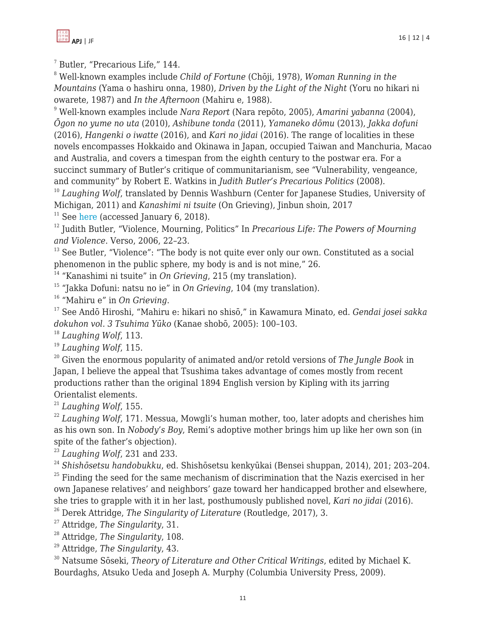

7 Butler, "Precarious Life," 144.

<sup>8</sup> Well-known examples include *Child of Fortune* (Chōji, 1978), *Woman Running in the Mountains* (Yama o hashiru onna, 1980), *Driven by the Light of the Night* (Yoru no hikari ni owarete, 1987) and *In the Afternoon* (Mahiru e, 1988).

<sup>9</sup> Well-known examples include *Nara Report* (Nara repōto, 2005), *Amarini yabanna* (2004), *Ōgon no yume no uta* (2010), *Ashibune tonda* (2011), *Yamaneko dōmu* (2013), *Jakka dofuni* (2016), *Hangenki o iwatte* (2016), and *Kari no jidai* (2016). The range of localities in these novels encompasses Hokkaido and Okinawa in Japan, occupied Taiwan and Manchuria, Macao and Australia, and covers a timespan from the eighth century to the postwar era. For a succinct summary of Butler's critique of communitarianism, see "Vulnerability, vengeance, and community" by Robert E. Watkins in *Judith Butler's Precarious Politics* (2008). <sup>10</sup> Laughing Wolf, translated by Dennis Washburn (Center for Japanese Studies, University of

Michigan, 2011) and *Kanashimi ni tsuite* (On Grieving), Jinbun shoin, 2017

 $11$  See [here](http://www.jimbunshoin.co.jp/files/tsushima_chirashi.pdf) (accessed January 6, 2018).

<sup>12</sup> Judith Butler, "Violence, Mourning, Politics" In *Precarious Life: The Powers of Mourning and Violence*. Verso, 2006, 22–23.

<sup>13</sup> See Butler, "Violence": "The body is not quite ever only our own. Constituted as a social phenomenon in the public sphere, my body is and is not mine," 26.

<sup>14</sup> "Kanashimi ni tsuite" in *On Grieving*, 215 (my translation).

<sup>15</sup> "Jakka Dofuni: natsu no ie" in *On Grieving*, 104 (my translation).

<sup>16</sup> "Mahiru e" in *On Grieving*.

<sup>17</sup> See Andō Hiroshi, "Mahiru e: hikari no shisō," in Kawamura Minato, ed. *Gendai josei sakka dokuhon vol. 3 Tsuhima Yūko* (Kanae shobō, 2005): 100–103.

<sup>18</sup> *Laughing Wolf*, 113.

<sup>19</sup> *Laughing Wolf*, 115.

<sup>20</sup> Given the enormous popularity of animated and/or retold versions of *The Jungle Book* in Japan, I believe the appeal that Tsushima takes advantage of comes mostly from recent productions rather than the original 1894 English version by Kipling with its jarring Orientalist elements.

<sup>21</sup> *Laughing Wolf*, 155.

<sup>22</sup> Laughing Wolf, 171. Messua, Mowgli's human mother, too, later adopts and cherishes him as his own son. In *Nobody's Boy*, Remi's adoptive mother brings him up like her own son (in spite of the father's objection).

<sup>23</sup> *Laughing Wolf*, 231 and 233.

<sup>24</sup> *Shishōsetsu handobukku*, ed. Shishōsetsu kenkyūkai (Bensei shuppan, 2014), 201; 203–204.

 $25$  Finding the seed for the same mechanism of discrimination that the Nazis exercised in her own Japanese relatives' and neighbors' gaze toward her handicapped brother and elsewhere, she tries to grapple with it in her last, posthumously published novel, *Kari no jidai* (2016).

<sup>26</sup> Derek Attridge, *The Singularity of Literature* (Routledge, 2017), 3.

<sup>27</sup> Attridge, *The Singularity*, 31.

<sup>28</sup> Attridge, *The Singularity*, 108.

<sup>29</sup> Attridge, *The Singularity*, 43.

<sup>30</sup> Natsume Sōseki, *Theory of Literature and Other Critical Writings*, edited by Michael K. Bourdaghs, Atsuko Ueda and Joseph A. Murphy (Columbia University Press, 2009).